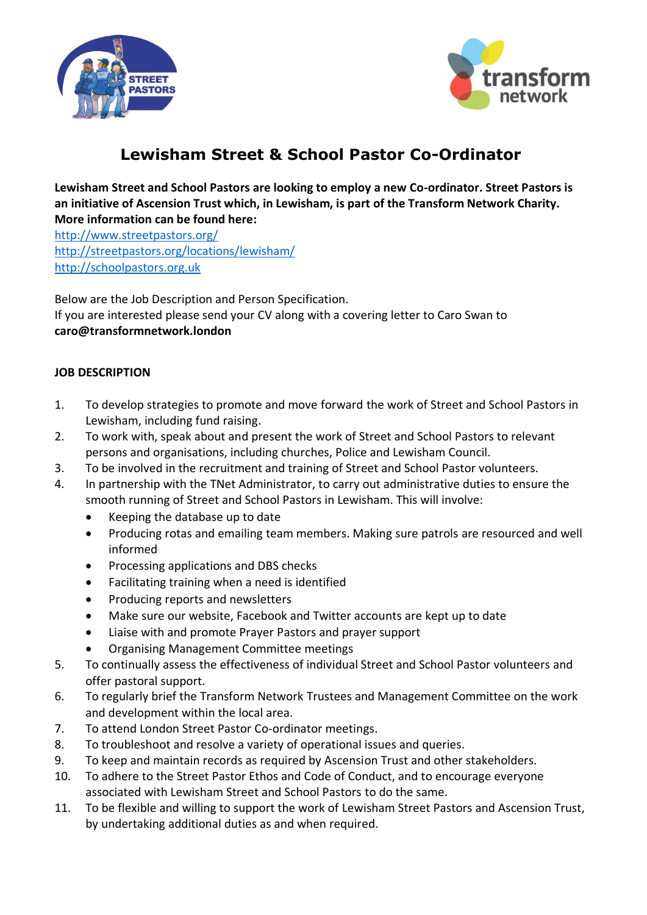



## **Lewisham Street & School Pastor Co-Ordinator**

**Lewisham Street and School Pastors are looking to employ a new Co-ordinator. Street Pastors is an initiative of Ascension Trust which, in Lewisham, is part of the Transform Network Charity. More information can be found here:**

<http://www.streetpastors.org/> <http://streetpastors.org/locations/lewisham/> [http://schoolpastors.org.uk](http://schoolpastors.org.uk/)

Below are the Job Description and Person Specification. If you are interested please send your CV along with a covering letter to Caro Swan to **caro@transformnetwork.london**

## **JOB DESCRIPTION**

- 1. To develop strategies to promote and move forward the work of Street and School Pastors in Lewisham, including fund raising.
- 2. To work with, speak about and present the work of Street and School Pastors to relevant persons and organisations, including churches, Police and Lewisham Council.
- 3. To be involved in the recruitment and training of Street and School Pastor volunteers.
- 4. In partnership with the TNet Administrator, to carry out administrative duties to ensure the smooth running of Street and School Pastors in Lewisham. This will involve:
	- Keeping the database up to date
	- Producing rotas and emailing team members. Making sure patrols are resourced and well informed
	- Processing applications and DBS checks
	- Facilitating training when a need is identified
	- Producing reports and newsletters
	- Make sure our website, Facebook and Twitter accounts are kept up to date
	- Liaise with and promote Prayer Pastors and prayer support
	- Organising Management Committee meetings
- 5. To continually assess the effectiveness of individual Street and School Pastor volunteers and offer pastoral support.
- 6. To regularly brief the Transform Network Trustees and Management Committee on the work and development within the local area.
- 7. To attend London Street Pastor Co-ordinator meetings.
- 8. To troubleshoot and resolve a variety of operational issues and queries.
- 9. To keep and maintain records as required by Ascension Trust and other stakeholders.
- 10. To adhere to the Street Pastor Ethos and Code of Conduct, and to encourage everyone associated with Lewisham Street and School Pastors to do the same.
- 11. To be flexible and willing to support the work of Lewisham Street Pastors and Ascension Trust, by undertaking additional duties as and when required.